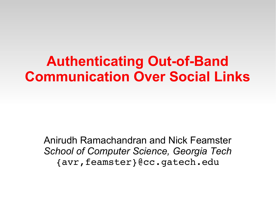#### **Authenticating Out-of-Band Communication Over Social Links**

Anirudh Ramachandran and Nick Feamster *School of Computer Science, Georgia Tech* {avr,feamster}@cc.gatech.edu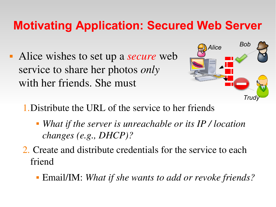#### **Motivating Application: Secured Web Server**

 Alice wishes to set up a *secure* web service to share her photos *only*  with her friends. She must



1.Distribute the URL of the service to her friends

- *What if the server is unreachable or its IP / location changes (e.g., DHCP)?*
- 2. Create and distribute credentials for the service to each friend
	- Email/IM: *What if she wants to add or revoke friends?*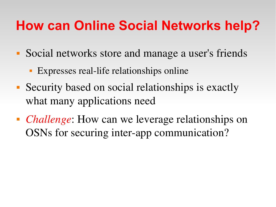#### **How can Online Social Networks help?**

- Social networks store and manage a user's friends
	- Expresses real-life relationships online
- Security based on social relationships is exactly what many applications need
- *Challenge*: How can we leverage relationships on OSNs for securing inter-app communication?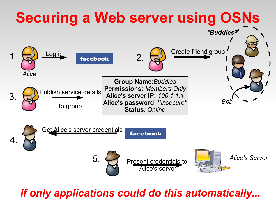

#### *If only applications could do this automatically...*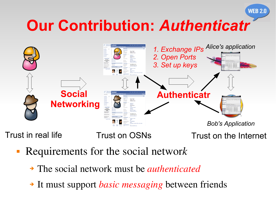# **Our Contribution:** *Authenticatr*



Trust in real life Trust on OSNs

Trust on the Internet

**WEB 2.0** 

- Requirements for the social networ*k*
	- ➔ The social network must be *authenticated*
	- ➔ It must support *basic messaging* between friends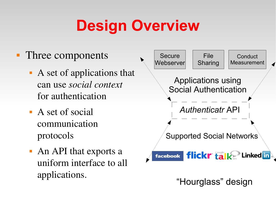# **Design Overview**

- Three components
	- A set of applications that can use *social context*  for authentication
	- A set of social communication protocols
	- An API that exports a uniform interface to all applications.



"Hourglass" design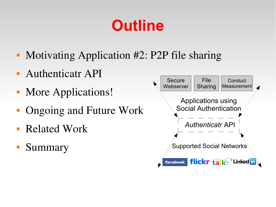## **Outline**

- Motivating Application #2: P2P file sharing
- Authenticatr API
- More Applications!
- Ongoing and Future Work
- Related Work
- Summary

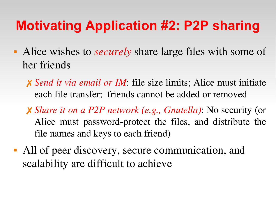#### **Motivating Application #2: P2P sharing**

- Alice wishes to *securely* share large files with some of her friends
	- ✗ *Send it via email or IM*: file size limits; Alice must initiate each file transfer; friends cannot be added or removed
	- ✗ *Share it on a P2P network (e.g., Gnutella)*: No security (or Alice must password-protect the files, and distribute the file names and keys to each friend)
- All of peer discovery, secure communication, and scalability are difficult to achieve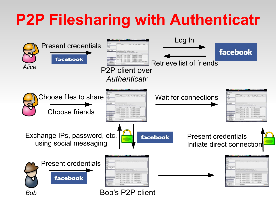# **P2P Filesharing with Authenticatr**

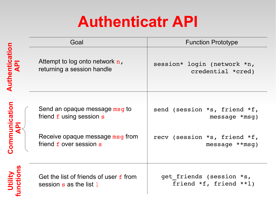## **Authenticatr API**

|                                                 | Goal                                                                  | <b>Function Prototype</b>                          |
|-------------------------------------------------|-----------------------------------------------------------------------|----------------------------------------------------|
| Authenticatio                                   | Attempt to log onto network $n$ ,<br>returning a session handle       | session* login (network *n,<br>credential *cred)   |
|                                                 |                                                                       |                                                    |
|                                                 | Send an opaque message msg to<br>friend f using session s             | send (session *s, friend *f,<br>$message * msg)$   |
| ommunication<br>$\frac{\mathbf{p}}{\mathbf{q}}$ | Receive opaque message msg from<br>friend f over session s            | recv (session *s, friend *f,<br>$message **msg)$   |
| Utility<br>Inctions                             | Get the list of friends of user f from<br>session $s$ as the list $1$ | get friends (session *s,<br>friend *f, friend **1) |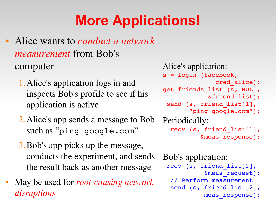## **More Applications!**

- Alice wants to *conduct a network measurement* from Bob's computer
	- 1.Alice's application logs in and inspects Bob's profile to see if his application is active
	- 2.Alice's app sends a message to Bob such as "ping google.com"
	- 3.Bob's app picks up the message, conducts the experiment, and sends the result back as another message
- May be used for *root-causing network disruptions*

```
Alice's application: 
s = login (facebook,
               cred_alice);
get_friends_list (s, NULL,
             &friend_list);
 send (s, friend list[1],
       "ping google.com");
Periodically: 
  recv (s, friend_list[1],
          &meas_response);
```

```
Bob's application:
 recv (s, friend_list[2], 
           &meas_request);
    // Perform measurement
  send (s, friend list[2],
           meas response);
```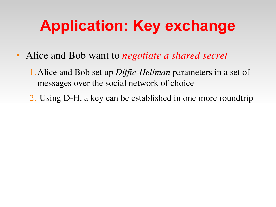# **Application: Key exchange**

- Alice and Bob want to *negotiate a shared secret*
	- 1. Alice and Bob set up *Diffie-Hellman* parameters in a set of messages over the social network of choice
	- 2. Using D-H, a key can be established in one more roundtrip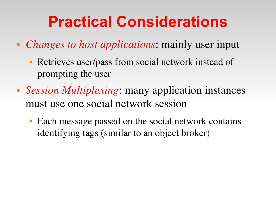## **Practical Considerations**

- *Changes to host applications*: mainly user input
	- **Retrieves user/pass from social network instead of** prompting the user
- *Session Multiplexing*: many application instances must use one social network session
	- Each message passed on the social network contains identifying tags (similar to an object broker)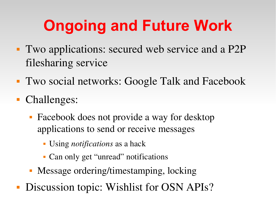# **Ongoing and Future Work**

- Two applications: secured web service and a P2P filesharing service
- Two social networks: Google Talk and Facebook
- Challenges:
	- Facebook does not provide a way for desktop applications to send or receive messages
		- Using *notifications* as a hack
		- Can only get "unread" notifications
	- Message ordering/timestamping, locking
- **Discussion topic: Wishlist for OSN APIs?**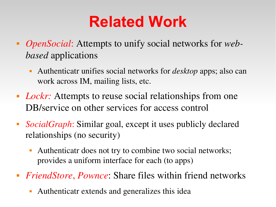### **Related Work**

- *OpenSocial*: Attempts to unify social networks for *webbased* applications
	- Authenticatr unifies social networks for *desktop* apps; also can work across IM, mailing lists, etc.
- *Lockr*: Attempts to reuse social relationships from one DB/service on other services for access control
- *SocialGraph*: Similar goal, except it uses publicly declared relationships (no security)
	- Authenticatr does not try to combine two social networks; provides a uniform interface for each (to apps)
- *FriendStore*, *Pownce*: Share files within friend networks
	- Authenticatr extends and generalizes this idea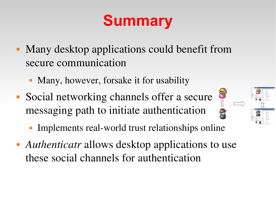# **Summary**

- Many desktop applications could benefit from secure communication
	- Many, however, forsake it for usability
- Social networking channels offer a secure messaging path to initiate authentication
	- Implements real-world trust relationships online

N-A

 *Authenticatr* allows desktop applications to use these social channels for authentication